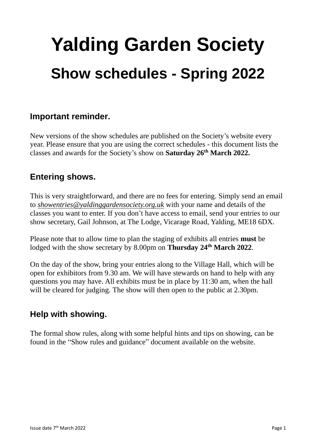# **Yalding Garden Society Show schedules - Spring 2022**

## **Important reminder.**

New versions of the show schedules are published on the Society's website every year. Please ensure that you are using the correct schedules - this document lists the classes and awards for the Society's show on **Saturday 26th March 2022.**

# **Entering shows.**

This is very straightforward, and there are no fees for entering. Simply send an email to *showentries@yaldinggardensociety.org.uk* with your name and details of the classes you want to enter. If you don't have access to email, send your entries to our show secretary, Gail Johnson, at The Lodge, Vicarage Road, Yalding, ME18 6DX.

Please note that to allow time to plan the staging of exhibits all entries **must** be lodged with the show secretary by 8.00pm on **Thursday 24th March 2022**.

On the day of the show, bring your entries along to the Village Hall, which will be open for exhibitors from 9.30 am. We will have stewards on hand to help with any questions you may have. All exhibits must be in place by 11:30 am, when the hall will be cleared for judging. The show will then open to the public at 2.30pm.

# **Help with showing.**

The formal show rules, along with some helpful hints and tips on showing, can be found in the "Show rules and guidance" document available on the website.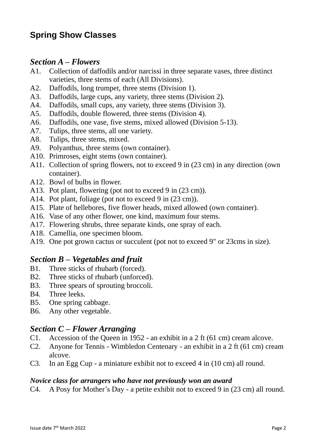# **Spring Show Classes**

#### *Section A – Flowers*

- A1. Collection of daffodils and/or narcissi in three separate vases, three distinct varieties, three stems of each (All Divisions).
- A2. Daffodils, long trumpet, three stems (Division 1).
- A3. Daffodils, large cups, any variety, three stems (Division 2).
- A4. Daffodils, small cups, any variety, three stems (Division 3).
- A5. Daffodils, double flowered, three stems (Division 4).
- A6. Daffodils, one vase, five stems, mixed allowed (Division 5-13).
- A7. Tulips, three stems, all one variety.
- A8. Tulips, three stems, mixed.
- A9. Polyanthus, three stems (own container).
- A10. Primroses, eight stems (own container).
- A11. Collection of spring flowers, not to exceed 9 in (23 cm) in any direction (own container).
- A12. Bowl of bulbs in flower.
- A13. Pot plant, flowering (pot not to exceed 9 in (23 cm)).
- A14. Pot plant, foliage (pot not to exceed 9 in  $(23 \text{ cm})$ ).
- A15. Plate of hellebores, five flower heads, mixed allowed (own container).
- A16. Vase of any other flower, one kind, maximum four stems.
- A17. Flowering shrubs, three separate kinds, one spray of each.
- A18. Camellia, one specimen bloom.
- A19. One pot grown cactus or succulent (pot not to exceed 9" or 23cms in size).

## *Section B – Vegetables and fruit*

- B1. Three sticks of rhubarb (forced).
- B2. Three sticks of rhubarb (unforced).
- B3. Three spears of sprouting broccoli.
- B4. Three leeks.
- B5. One spring cabbage.
- B6. Any other vegetable.

### *Section C – Flower Arranging*

- C1. Accession of the Queen in 1952 an exhibit in a 2 ft (61 cm) cream alcove.
- C2. Anyone for Tennis Wimbledon Centenary an exhibit in a 2 ft (61 cm) cream alcove.
- C3. In an Egg Cup a miniature exhibit not to exceed 4 in (10 cm) all round.

#### *Novice class for arrangers who have not previously won an award*

C4. A Posy for Mother's Day - a petite exhibit not to exceed 9 in (23 cm) all round.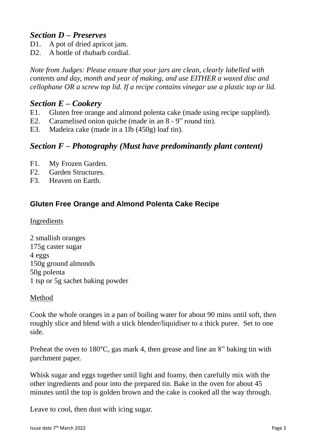## *Section D – Preserves*

- D1. A pot of dried apricot jam.
- D2. A bottle of rhubarb cordial.

*Note from Judges: Please ensure that your jars are clean, clearly labelled with contents and day, month and year of making, and use EITHER a waxed disc and cellophane OR a screw top lid. If a recipe contains vinegar use a plastic top or lid.*

## *Section E – Cookery*

- E1. Gluten free orange and almond polenta cake (made using recipe supplied).
- E2. Caramelised onion quiche (made in an 8 9" round tin).
- E3. Madeira cake (made in a 1lb (450g) loaf tin).

## *Section F – Photography (Must have predominantly plant content)*

- F1. My Frozen Garden.
- F2. Garden Structures.
- F3. Heaven on Earth.

## **Gluten Free Orange and Almond Polenta Cake Recipe**

#### Ingredients

2 smallish oranges 175g caster sugar 4 eggs 150g ground almonds 50g polenta 1 tsp or 5g sachet baking powder

#### Method

Cook the whole oranges in a pan of boiling water for about 90 mins until soft, then roughly slice and blend with a stick blender/liquidiser to a thick puree. Set to one side.

Preheat the oven to 180°C, gas mark 4, then grease and line an 8" baking tin with parchment paper.

Whisk sugar and eggs together until light and foamy, then carefully mix with the other ingredients and pour into the prepared tin. Bake in the oven for about 45 minutes until the top is golden brown and the cake is cooked all the way through.

Leave to cool, then dust with icing sugar.